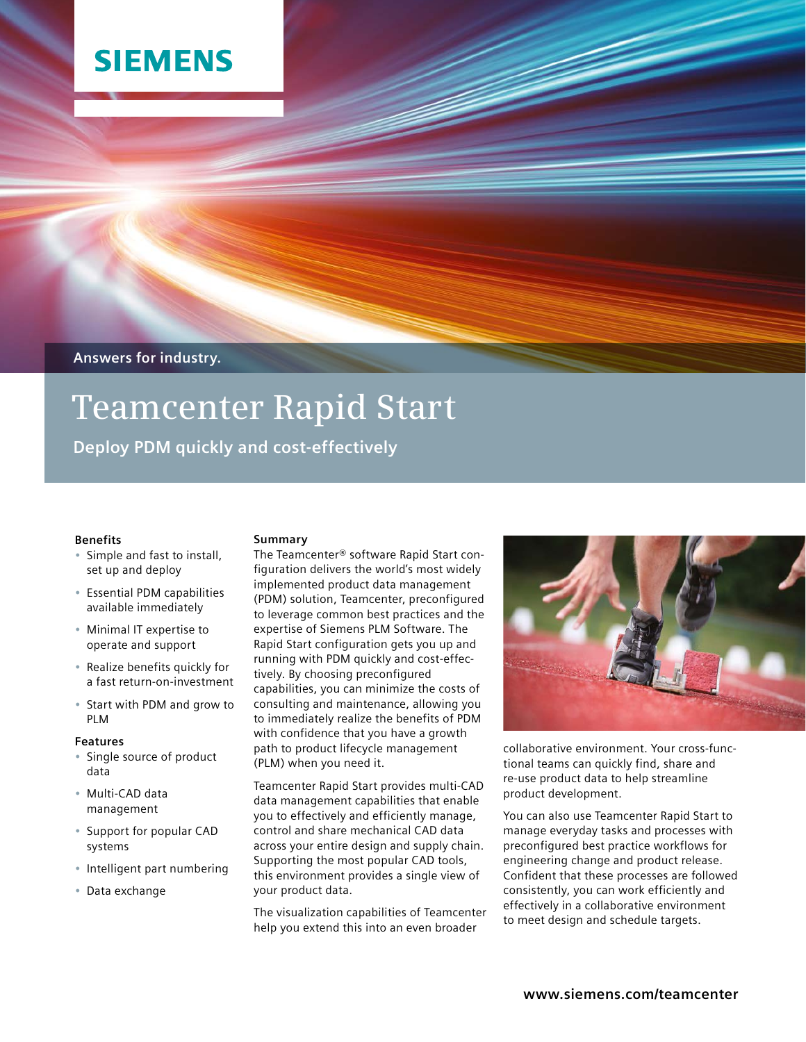## **SIEMENS**

**Answers for industry.**

# **Teamcenter Rapid Start**

**Deploy PDM quickly and cost-effectively**

#### **Benefits**

- • Simple and fast to install, set up and deploy
- • Essential PDM capabilities available immediately
- • Minimal IT expertise to operate and support
- • Realize benefits quickly for a fast return-on-investment
- Start with PDM and grow to PLM

#### **Features**

- • Single source of product data
- • Multi-CAD data management
- Support for popular CAD systems
- • Intelligent part numbering
- • Data exchange

#### **Summary**

The Teamcenter® software Rapid Start configuration delivers the world's most widely implemented product data management (PDM) solution, Teamcenter, preconfigured to leverage common best practices and the expertise of Siemens PLM Software. The Rapid Start configuration gets you up and running with PDM quickly and cost-effectively. By choosing preconfigured capabilities, you can minimize the costs of consulting and maintenance, allowing you to immediately realize the benefits of PDM with confidence that you have a growth path to product lifecycle management (PLM) when you need it.

Teamcenter Rapid Start provides multi-CAD data management capabilities that enable you to effectively and efficiently manage, control and share mechanical CAD data across your entire design and supply chain. Supporting the most popular CAD tools, this environment provides a single view of your product data.

The visualization capabilities of Teamcenter help you extend this into an even broader



collaborative environment. Your cross-functional teams can quickly find, share and re-use product data to help streamline product development.

You can also use Teamcenter Rapid Start to manage everyday tasks and processes with preconfigured best practice workflows for engineering change and product release. Confident that these processes are followed consistently, you can work efficiently and effectively in a collaborative environment to meet design and schedule targets.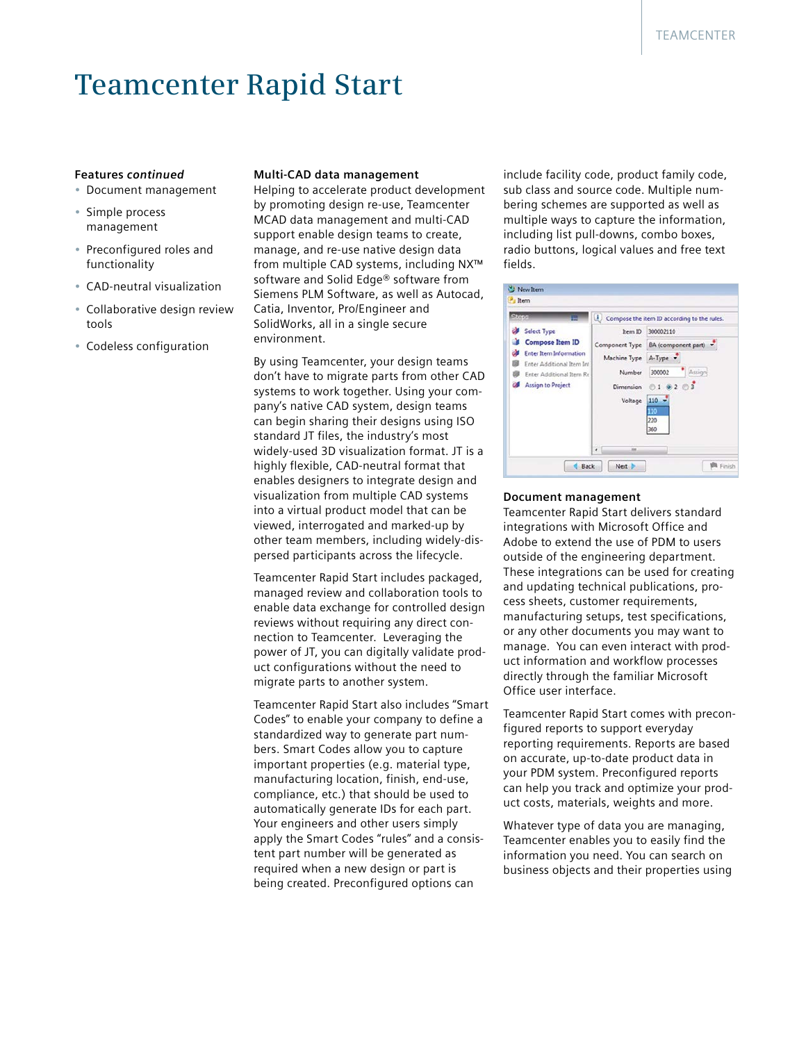### **Teamcenter Rapid Start**

#### **Features** *continued*

- • Document management
- • Simple process management
- • Preconfigured roles and functionality
- • CAD-neutral visualization
- • Collaborative design review tools
- • Codeless configuration

#### **Multi-CAD data management**

Helping to accelerate product development by promoting design re-use, Teamcenter MCAD data management and multi-CAD support enable design teams to create, manage, and re-use native design data from multiple CAD systems, including NX™ software and Solid Edge® software from Siemens PLM Software, as well as Autocad, Catia, Inventor, Pro/Engineer and SolidWorks, all in a single secure environment.

By using Teamcenter, your design teams don't have to migrate parts from other CAD systems to work together. Using your company's native CAD system, design teams can begin sharing their designs using ISO standard JT files, the industry's most widely-used 3D visualization format. JT is a highly flexible, CAD-neutral format that enables designers to integrate design and visualization from multiple CAD systems into a virtual product model that can be viewed, interrogated and marked-up by other team members, including widely-dispersed participants across the lifecycle.

Teamcenter Rapid Start includes packaged, managed review and collaboration tools to enable data exchange for controlled design reviews without requiring any direct connection to Teamcenter. Leveraging the power of JT, you can digitally validate product configurations without the need to migrate parts to another system.

Teamcenter Rapid Start also includes "Smart Codes" to enable your company to define a standardized way to generate part numbers. Smart Codes allow you to capture important properties (e.g. material type, manufacturing location, finish, end-use, compliance, etc.) that should be used to automatically generate IDs for each part. Your engineers and other users simply apply the Smart Codes "rules" and a consistent part number will be generated as required when a new design or part is being created. Preconfigured options can

include facility code, product family code, sub class and source code. Multiple numbering schemes are supported as well as multiple ways to capture the information, including list pull-downs, combo boxes, radio buttons, logical values and free text fields.

| Stens | ⋿                                                                                                                                                           |                                                                  | Compose the item ID according to the rules.                                                      |
|-------|-------------------------------------------------------------------------------------------------------------------------------------------------------------|------------------------------------------------------------------|--------------------------------------------------------------------------------------------------|
|       | Select Type<br><b>Compose Item ID</b><br><b>Enter Item Information</b><br>Enter Additional Item Int<br>Enter Additional Item Re<br><b>Assign to Project</b> | Item ID<br>Machine Type A-Type<br>Number<br>Dimension<br>Voltage | 300002110<br>Component Type BA (component part)<br>Assigni<br>300002<br>010203<br>$110 -$<br>110 |
|       | Back                                                                                                                                                        | m<br>$\epsilon$<br>Next &                                        | 220<br>360<br>Finish                                                                             |

#### **Document management**

Teamcenter Rapid Start delivers standard integrations with Microsoft Office and Adobe to extend the use of PDM to users outside of the engineering department. These integrations can be used for creating and updating technical publications, process sheets, customer requirements, manufacturing setups, test specifications, or any other documents you may want to manage. You can even interact with product information and workflow processes directly through the familiar Microsoft Office user interface.

Teamcenter Rapid Start comes with preconfigured reports to support everyday reporting requirements. Reports are based on accurate, up-to-date product data in your PDM system. Preconfigured reports can help you track and optimize your product costs, materials, weights and more.

Whatever type of data you are managing, Teamcenter enables you to easily find the information you need. You can search on business objects and their properties using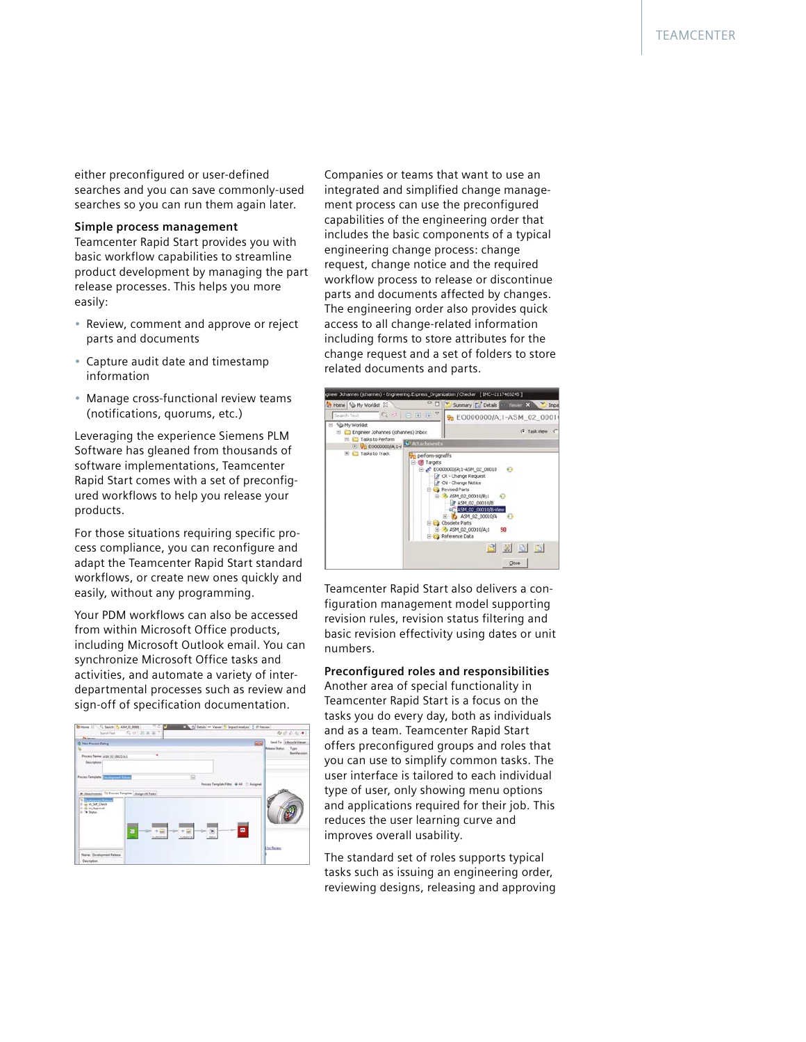either preconfigured or user-defined searches and you can save commonly-used searches so you can run them again later.

#### **Simple process management**

Teamcenter Rapid Start provides you with basic workflow capabilities to streamline product development by managing the part release processes. This helps you more easily:

- Review, comment and approve or reject parts and documents
- Capture audit date and timestamp information
- Manage cross-functional review teams (notifications, quorums, etc.)

Leveraging the experience Siemens PLM Software has gleaned from thousands of software implementations, Teamcenter Rapid Start comes with a set of preconfigured workflows to help you release your products.

For those situations requiring specific process compliance, you can reconfigure and adapt the Teamcenter Rapid Start standard workflows, or create new ones quickly and easily, without any programming.

Your PDM workflows can also be accessed from within Microsoft Office products, including Microsoft Outlook email. You can synchronize Microsoft Office tasks and activities, and automate a variety of interdepartmental processes such as review and sign-off of specification documentation.



Companies or teams that want to use an integrated and simplified change management process can use the preconfigured capabilities of the engineering order that includes the basic components of a typical engineering change process: change request, change notice and the required workflow process to release or discontinue parts and documents affected by changes. The engineering order also provides quick access to all change-related information including forms to store attributes for the change request and a set of folders to store related documents and parts.



Teamcenter Rapid Start also delivers a configuration management model supporting revision rules, revision status filtering and basic revision effectivity using dates or unit numbers.

#### **Preconfigured roles and responsibilities**

Another area of special functionality in Teamcenter Rapid Start is a focus on the tasks you do every day, both as individuals and as a team. Teamcenter Rapid Start offers preconfigured groups and roles that you can use to simplify common tasks. The user interface is tailored to each individual type of user, only showing menu options and applications required for their job. This reduces the user learning curve and improves overall usability.

The standard set of roles supports typical tasks such as issuing an engineering order, reviewing designs, releasing and approving